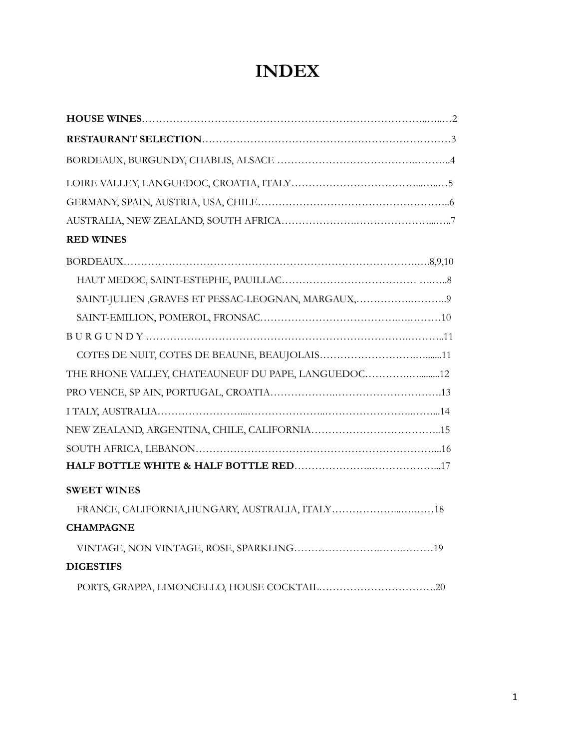# **INDEX**

| <b>RED WINES</b>                                    |
|-----------------------------------------------------|
|                                                     |
|                                                     |
| SAINT-JULIEN, GRAVES ET PESSAC-LEOGNAN, MARGAUX,9   |
|                                                     |
|                                                     |
|                                                     |
| THE RHONE VALLEY, CHATEAUNEUF DU PAPE, LANGUEDOC 12 |
|                                                     |
|                                                     |
|                                                     |
|                                                     |
|                                                     |
| <b>SWEET WINES</b>                                  |
|                                                     |
| <b>CHAMPAGNE</b>                                    |
|                                                     |
| <b>DIGESTIFS</b>                                    |
|                                                     |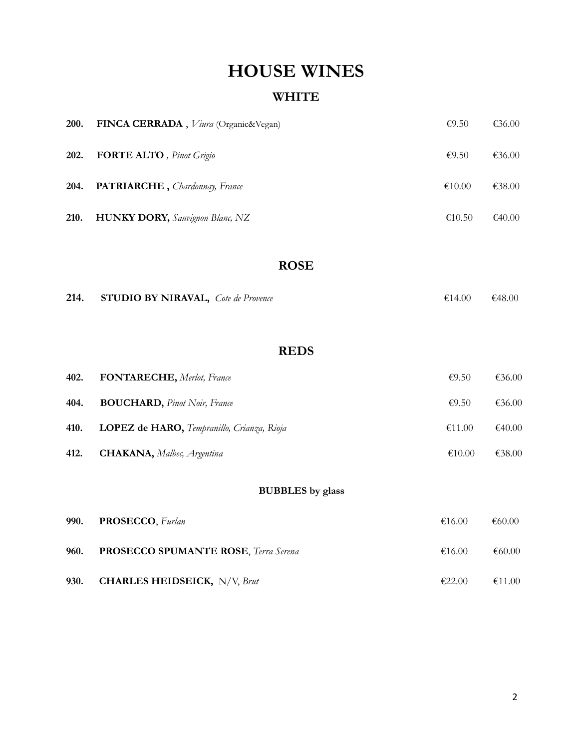# **HOUSE WINES**

## **WHITE**

| <b>200.</b> | FINCA CERRADA, Viura (Organic&Vegan)   | £9.50  | €36.00 |
|-------------|----------------------------------------|--------|--------|
| 202.        | <b>FORTE ALTO</b> , Pinot Grigio       | £9.50  | €36.00 |
| 204.        | PATRIARCHE, Chardonnay, France         | €10.00 | €38.00 |
| 210.        | <b>HUNKY DORY,</b> Sauvignon Blanc, NZ | €10.50 | €40.00 |

### **ROSE**

| 214. | <b>STUDIO BY NIRAVAL</b> , <i>Cote de Provence</i> | €14.00 | $\epsilon$ 48.00 |
|------|----------------------------------------------------|--------|------------------|
|------|----------------------------------------------------|--------|------------------|

### **REDS**

| 402. | <b>FONTARECHE</b> , Merlot, France                  | £9.50  | €36.00 |
|------|-----------------------------------------------------|--------|--------|
| 404. | <b>BOUCHARD</b> , <i>Pinot Noir</i> , <i>France</i> | €9.50  | €36.00 |
| 410. | LOPEZ de HARO, Tempranillo, Crianza, Rioja          | €11.00 | €40.00 |
| 412. | <b>CHAKANA</b> , Malbec, Argentina                  | €10.00 | €38.00 |

## **BUBBLES by glass**

|      | 990. PROSECCO, Furlan                         | €16.00 | €60.00 |
|------|-----------------------------------------------|--------|--------|
| 960. | <b>PROSECCO SPUMANTE ROSE, Terra Serena</b>   | €16.00 | €60.00 |
| 930. | <b>CHARLES HEIDSEICK,</b> $N/V$ , <i>Brut</i> | €22.00 | €11.00 |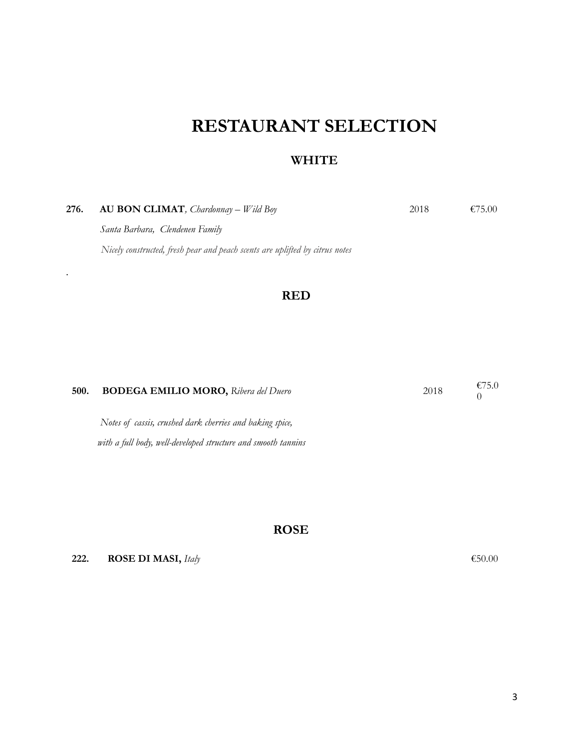# **RESTAURANT SELECTION**

### **WHITE**

| 276. | <b>AU BON CLIMAT</b> , <i>Chardonnay</i> – <i>Wild Boy</i>                   | 2018 | €75.00 |
|------|------------------------------------------------------------------------------|------|--------|
|      | Santa Barbara, Clendenen Family                                              |      |        |
|      | Nicely constructed, fresh pear and peach scents are uplifted by citrus notes |      |        |
|      |                                                                              |      |        |

### **RED**

| 500. | <b>BODEGA EMILIO MORO, Ribera del Duero</b>              | 2018 | €75.0 |
|------|----------------------------------------------------------|------|-------|
|      | Notes of cassis, crushed dark cherries and baking spice, |      |       |

 *with a full body, well-developed structure and smooth tannins*

#### **ROSE**

**222. ROSE DI MASI,** *Italy* €50.00

*.*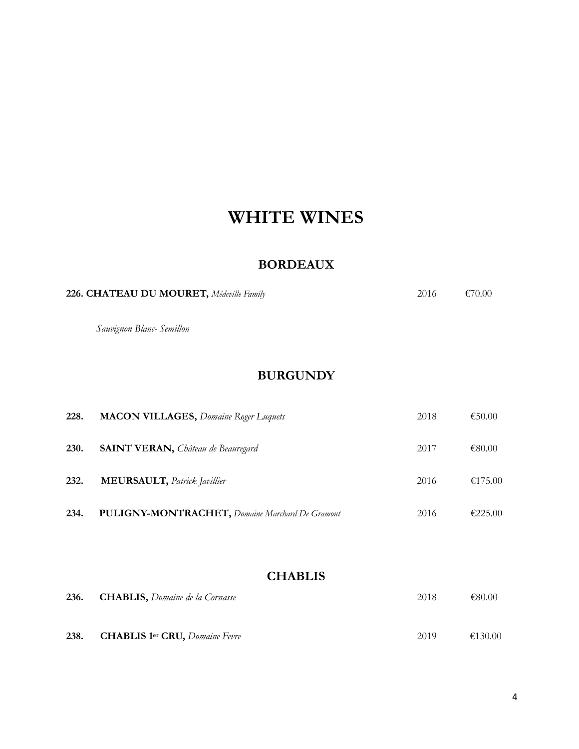# **WHITE WINES**

### **BORDEAUX**

| 226. CHATEAU DU MOURET, Médeville Family | 2016 | €70.00 |
|------------------------------------------|------|--------|
| Sauvignon Blanc- Semillon                |      |        |
|                                          |      |        |

### **BURGUNDY**

| 228. | <b>MACON VILLAGES, Domaine Roger Luquets</b>            | 2018 | €50.00  |
|------|---------------------------------------------------------|------|---------|
| 230. | <b>SAINT VERAN, Château de Beauregard</b>               | 2017 | €80.00  |
| 232. | <b>MEURSAULT</b> , Patrick Javillier                    | 2016 | €175.00 |
| 234. | <b>PULIGNY-MONTRACHET</b> , Domaine Marchard De Gramont | 2016 | €225.00 |

### **CHABLIS**

|      | 236. CHABLIS, Domaine de la Cornasse  | 2018 | €80.00  |
|------|---------------------------------------|------|---------|
| 238. | <b>CHABLIS 1er CRU, Domaine Fevre</b> | 2019 | €130.00 |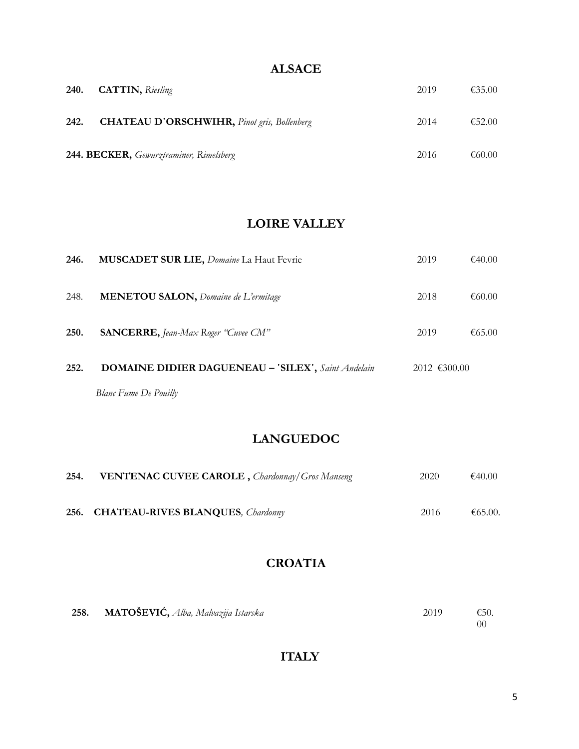### **ALSACE**

| 240. | <b>CATTIN</b> , Riesling                           | 2019 | €35.00 |
|------|----------------------------------------------------|------|--------|
| 242. | <b>CHATEAU D'ORSCHWIHR, Pinot gris, Bollenberg</b> | 2014 | €52.00 |
|      | 244. BECKER, Gewurztraminer, Rimelsberg            | 2016 | €60.00 |

### **LOIRE VALLEY**

| 252. | <b>DOMAINE DIDIER DAGUENEAU - 'SILEX', Saint Andelain</b> | $2012$ €300.00 |        |
|------|-----------------------------------------------------------|----------------|--------|
| 250. | <b>SANCERRE, Jean-Max Roger "Cuvee CM"</b>                | 2019           | €65.00 |
| 248. | <b>MENETOU SALON, Domaine de L'ermitage</b>               | 2018           | €60.00 |
| 246. | MUSCADET SUR LIE, Domaine La Haut Fevrie                  | 2019           | €40.00 |

### **LANGUEDOC**

| 254. | <b>VENTENAC CUVEE CAROLE</b> , <i>Chardonnay</i> / Gros Manseng | 2020 | €40.00  |
|------|-----------------------------------------------------------------|------|---------|
|      | 256. CHATEAU-RIVES BLANQUES, Chardonny                          | 2016 | €65.00. |

## **CROATIA**

| 258. | $\mathbf{MATO \v{\mathring{S}} EVI} \v{\mathring{C}},$ Alba, Malvazija Istarska | 2019 | $\epsilon$ 50. |
|------|---------------------------------------------------------------------------------|------|----------------|
|      |                                                                                 |      | 00             |

## **ITALY**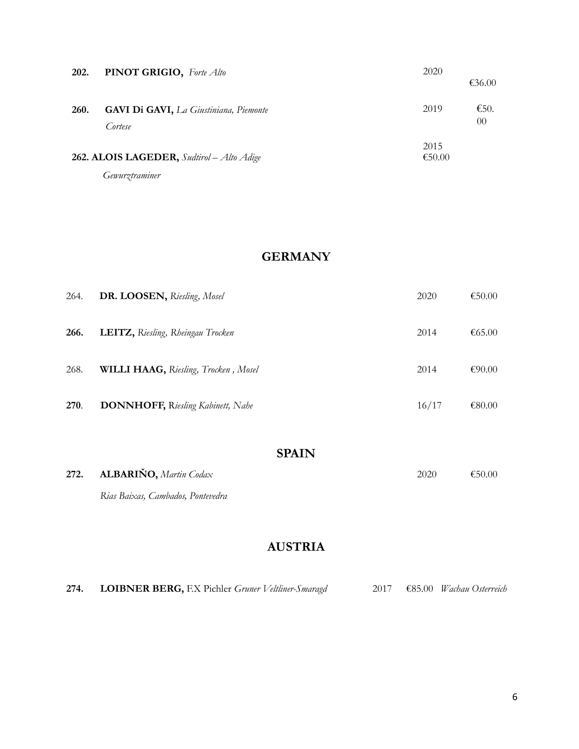| 202. | PINOT GRIGIO, Forte Alto                                    | 2020<br>€36.00         |  |
|------|-------------------------------------------------------------|------------------------|--|
| 260. | <b>GAVI Di GAVI, La Giustiniana, Piemonte</b><br>Cortese    | €50.<br>2019<br>$00\,$ |  |
|      | 262. ALOIS LAGEDER, Sudtirol - Alto Adige<br>Gewurztraminer | 2015<br>€50.00         |  |

### **GERMANY**

| 264. | DR. LOOSEN, Riesling, Mosel               | 2020  | €50.00 |
|------|-------------------------------------------|-------|--------|
| 266. | <b>LEITZ</b> , Riesling, Rheingau Trocken | 2014  | €65.00 |
| 268. | WILLI HAAG, Riesling, Trocken, Mosel      | 2014  | €90.00 |
| 270. | <b>DONNHOFF, Riesling Kabinett, Nahe</b>  | 16/17 | €80.00 |
|      |                                           |       |        |

### **SPAIN**

| 272. ALBARIÑO, Martin Codax       | 2020 | €50.00 |
|-----------------------------------|------|--------|
| Rias Baixas, Cambados, Pontevedra |      |        |

## **AUSTRIA**

| 274. | <b>LOIBNER BERG, F.X Pichler Gruner Veltliner-Smaragd</b> |  |  |  |  |  | 2017 €85.00 <i>Wachau</i> Osterreich |
|------|-----------------------------------------------------------|--|--|--|--|--|--------------------------------------|
|------|-----------------------------------------------------------|--|--|--|--|--|--------------------------------------|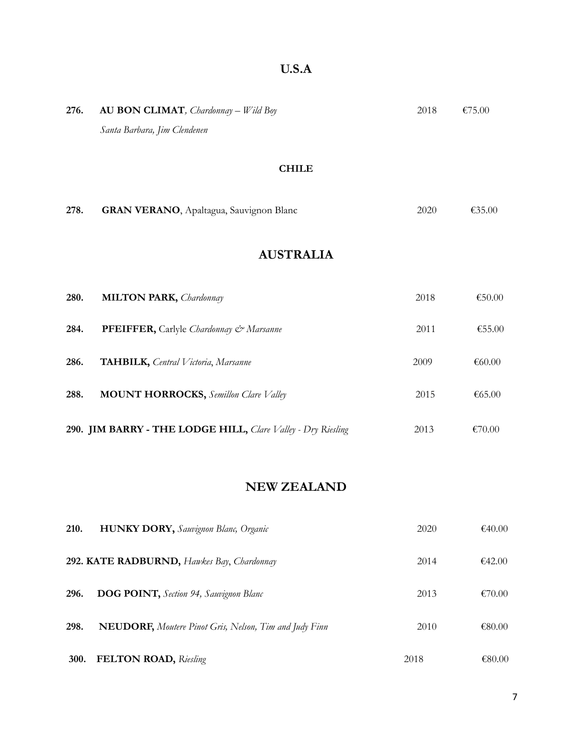| 276. | <b>AU BON CLIMAT</b> , <i>Chardonnay</i> – <i>Wild Boy</i><br>Santa Barbara, Jim Clendenen | 2018 | €75.00 |
|------|--------------------------------------------------------------------------------------------|------|--------|
|      | <b>CHILE</b>                                                                               |      |        |
| 278. | <b>GRAN VERANO</b> , Apaltagua, Sauvignon Blanc                                            | 2020 | €35.00 |
|      | <b>AUSTRALIA</b>                                                                           |      |        |
| 280. | <b>MILTON PARK, Chardonnay</b>                                                             | 2018 | €50.00 |
| 284. | PFEIFFER, Carlyle Chardonnay & Marsanne                                                    | 2011 | €55.00 |
| 286. | <b>TAHBILK</b> , Central Victoria, Marsanne                                                | 2009 | €60.00 |
| 288. | <b>MOUNT HORROCKS, Semillon Clare Valley</b>                                               | 2015 | €65.00 |
|      | 290. JIM BARRY - THE LODGE HILL, Clare Valley - Dry Riesling                               | 2013 | €70.00 |

## **NEW ZEALAND**

| 210.        | <b>HUNKY DORY, Sauvignon Blanc, Organic</b>                   | 2020 | €40.00 |
|-------------|---------------------------------------------------------------|------|--------|
|             | 292. KATE RADBURND, Hawkes Bay, Chardonnay                    | 2014 | €42.00 |
| 296.        | <b>DOG POINT</b> , Section 94, Sauvignon Blanc                | 2013 | €70.00 |
| 298.        | <b>NEUDORF,</b> Moutere Pinot Gris, Nelson, Tim and Judy Finn | 2010 | €80.00 |
| <b>300.</b> | <b>FELTON ROAD, Riesling</b>                                  | 2018 | €80.00 |

# **U.S.A**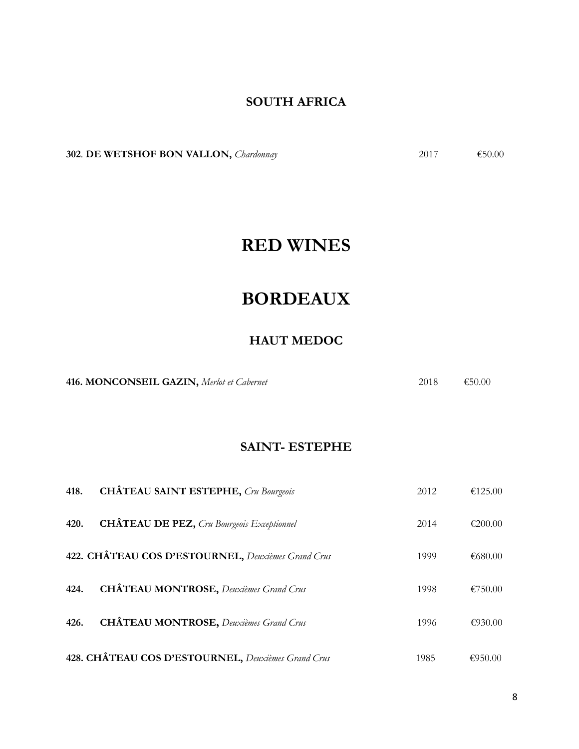### **SOUTH AFRICA**

**302. DE WETSHOF BON VALLON,** *Chardonnay* 2017 €50.00

# **RED WINES**

# **BORDEAUX**

## **HAUT MEDOC**

**416. MONCONSEIL GAZIN,** *Merlot et Cabernet* 2018 €50.00

#### **SAINT- ESTEPHE**

| 418. | <b>CHÂTEAU SAINT ESTEPHE, Cru Bourgeois</b>        | 2012 | €125.00 |
|------|----------------------------------------------------|------|---------|
| 420. | <b>CHÂTEAU DE PEZ, Cru Bourgeois Exceptionnel</b>  | 2014 | €200.00 |
|      | 422. CHÂTEAU COS D'ESTOURNEL, Deuxièmes Grand Crus | 1999 | €680.00 |
| 424. | <b>CHÂTEAU MONTROSE, Deuxièmes Grand Crus</b>      | 1998 | €750.00 |
| 426. | <b>CHÂTEAU MONTROSE, Deuxièmes Grand Crus</b>      | 1996 | €930.00 |
|      | 428. CHÂTEAU COS D'ESTOURNEL, Deuxièmes Grand Crus | 1985 | €950.00 |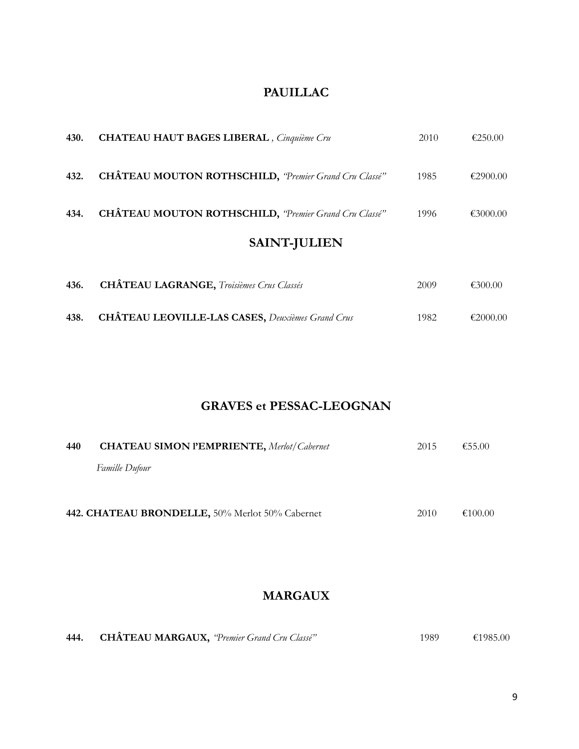### **PAUILLAC**

| 430. | <b>CHATEAU HAUT BAGES LIBERAL</b> , Cinquième Cru             | 2010 | €250.00  |
|------|---------------------------------------------------------------|------|----------|
| 432. | <b>CHÂTEAU MOUTON ROTHSCHILD</b> , "Premier Grand Cru Classé" | 1985 | €2900.00 |
| 434. | <b>CHÂTEAU MOUTON ROTHSCHILD, "Premier Grand Cru Classé"</b>  | 1996 | €3000.00 |
|      | <b>SAINT-JULIEN</b>                                           |      |          |
| 436. | <b>CHÂTEAU LAGRANGE</b> , <i>Troisièmes Crus Classés</i>      | 2009 | €300.00  |

**438. CHÂTEAU LEOVILLE-LAS CASES,** *Deuxièmes Grand Crus* 1982 €2000.00

### **GRAVES et PESSAC-LEOGNAN**

| 440 | <b>CHATEAU SIMON PEMPRIENTE, Merlot/Cabernet</b> | 2015 | €55.00  |
|-----|--------------------------------------------------|------|---------|
|     | <i>Famille Dufour</i>                            |      |         |
|     | 442. CHATEAU BRONDELLE, 50% Merlot 50% Cabernet  | 2010 | €100.00 |

# **MARGAUX**

| 444. | CHÂTEAU MARGAUX, "Premier Grand Cru Classé" |  | 1989 | €1985.00 |
|------|---------------------------------------------|--|------|----------|
|------|---------------------------------------------|--|------|----------|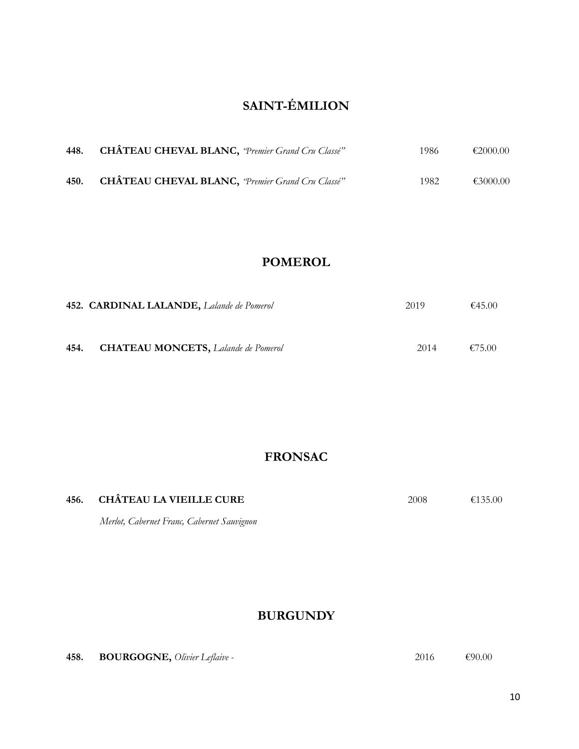# **SAINT-ÉMILION**

| 448. | <b>CHÂTEAU CHEVAL BLANC</b> , "Premier Grand Cru Classé" | 1986  | €2000.00 |
|------|----------------------------------------------------------|-------|----------|
| 450. | <b>CHÂTEAU CHEVAL BLANC</b> , "Premier Grand Cru Classé" | 1982. | €3000.00 |

### **POMEROL**

|      | 452. CARDINAL LALANDE, Lalande de Pomerol          | 2019 | €45.00 |
|------|----------------------------------------------------|------|--------|
| 454. | <b>CHATEAU MONCETS</b> , <i>Lalande de Pomerol</i> | 2014 | €75.00 |

## **FRONSAC**

| 456. CHÂTEAU LA VIEILLE CURE | 2008 | €135.00 |
|------------------------------|------|---------|
|                              |      |         |

*Merlot, Cabernet Franc, Cabernet Sauvignon*

### **BURGUNDY**

**458. BOURGOGNE,** *Olivier Leflaive* - **2016 €90.00 €90.00**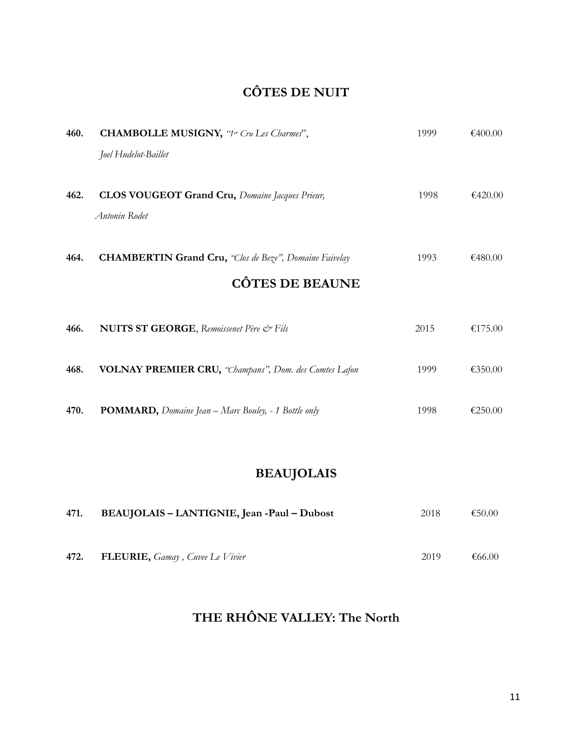# **CÔTES DE NUIT**

| 460. | <b>CHAMBOLLE MUSIGNY</b> , "1er Cru Les Charmes",                                  | 1999 | €400.00 |
|------|------------------------------------------------------------------------------------|------|---------|
|      | Joel Hudelot-Baillet                                                               |      |         |
|      |                                                                                    |      |         |
| 462. | <b>CLOS VOUGEOT Grand Cru, Domaine Jacques Prieur,</b>                             | 1998 | €420.00 |
|      | Antonin Rodet                                                                      |      |         |
|      |                                                                                    |      |         |
| 464. | <b>CHAMBERTIN Grand Cru,</b> "Clos de Beze", Domaine Faivelay                      | 1993 | €480.00 |
|      | <b>CÔTES DE BEAUNE</b>                                                             |      |         |
|      |                                                                                    |      |         |
| 466. | <b>NUITS ST GEORGE</b> , Remoissenet Père & Fils                                   | 2015 | €175.00 |
|      |                                                                                    |      |         |
| 468. | VOLNAY PREMIER CRU, "Champans", Dom. des Comtes Lafon                              | 1999 | €350.00 |
|      |                                                                                    |      |         |
| 470. | <b>POMMARD</b> , <i>Domaine Jean</i> - <i>Marc Bouley</i> , - 1 <i>Bottle only</i> | 1998 | €250.00 |
|      |                                                                                    |      |         |
|      |                                                                                    |      |         |

# **BEAUJOLAIS**

| 471. | BEAUJOLAIS – LANTIGNIE, Jean -Paul – Dubost                   | 2018 | €50.00 |
|------|---------------------------------------------------------------|------|--------|
|      |                                                               |      |        |
| 472. | <b>FLEURIE</b> , <i>Gamay</i> , <i>Cuvee</i> Le <i>Vivier</i> | 2019 | €66.00 |

# **THE RHÔNE VALLEY: The North**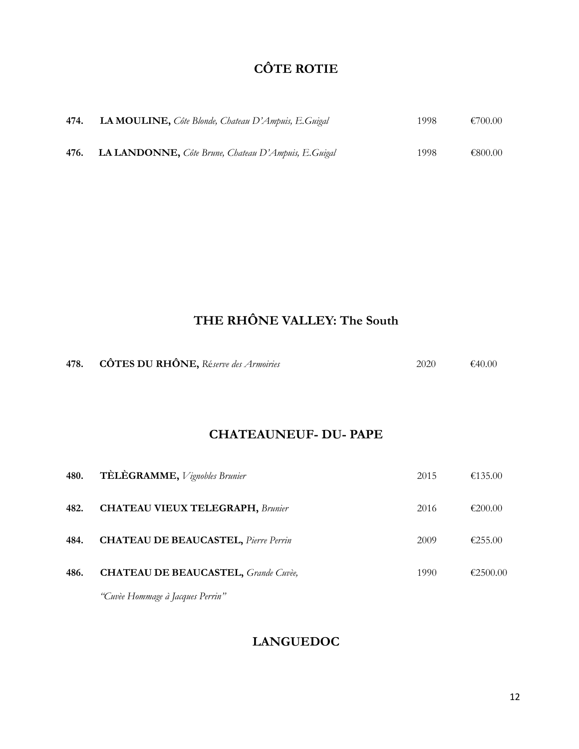# **CÔTE ROTIE**

| 474. | LA MOULINE, Côte Blonde, Chateau D'Ampuis, E. Guigal | 1998 | €700.00 |
|------|------------------------------------------------------|------|---------|
| 476. | LA LANDONNE, Côte Brune, Chateau D'Ampuis, E.Guigal  | 1998 | €800.00 |

# **THE RHÔNE VALLEY: The South**

| 478. | <b>CÔTES DU RHÔNE</b> , Réserve des Armoiries | 2020 | €40.00 |
|------|-----------------------------------------------|------|--------|
|------|-----------------------------------------------|------|--------|

### **CHATEAUNEUF- DU- PAPE**

| 480. | <b>TÈLÈGRAMME</b> , <i>Vignobles Brunier</i>                                  | 2015 | €135.00  |
|------|-------------------------------------------------------------------------------|------|----------|
| 482. | <b>CHATEAU VIEUX TELEGRAPH, Brunier</b>                                       | 2016 | €200.00  |
| 484. | <b>CHATEAU DE BEAUCASTEL</b> , Pierre Perrin                                  | 2009 | €255.00  |
| 486. | <b>CHATEAU DE BEAUCASTEL</b> , Grande Cuvèe,                                  | 1990 | €2500.00 |
|      | $\mathbf{r}$ $\mathbf{r}$ $\mathbf{r}$ $\mathbf{r}$ $\mathbf{r}$ $\mathbf{r}$ |      |          |

*"Cuvèe Hommage à Jacques Perrin"*

## **LANGUEDOC**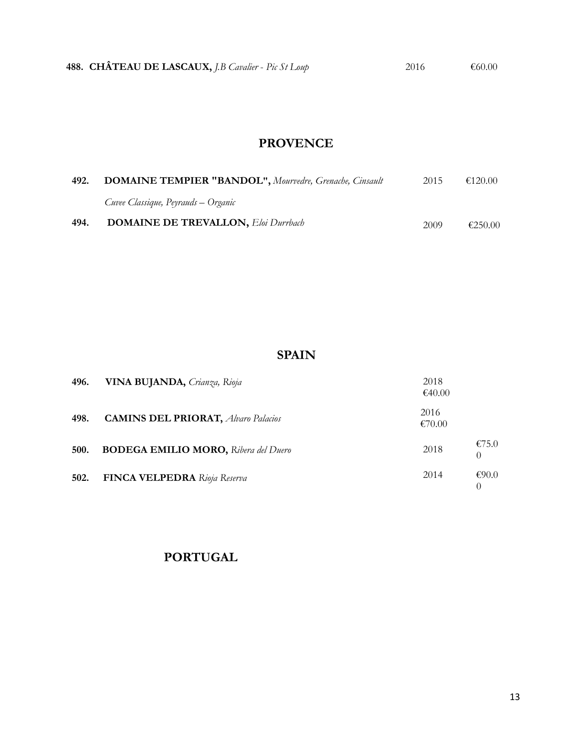# **PROVENCE**

| 492. | <b>DOMAINE TEMPIER "BANDOL", Mourvedre, Grenache, Cinsault</b> | 2015 | €120.00 |
|------|----------------------------------------------------------------|------|---------|
|      | Cuvee Classique, Peyrauds – Organic                            |      |         |
| 494. | <b>DOMAINE DE TREVALLON, Eloi Durrbach</b>                     | 2009 | €250.00 |

### **SPAIN**

| 496. | VINA BUJANDA, Crianza, Rioja                | 2018<br>€40.00 |
|------|---------------------------------------------|----------------|
| 498. | <b>CAMINS DEL PRIORAT, Alvaro Palacios</b>  | 2016<br>€70.00 |
| 500. | <b>BODEGA EMILIO MORO, Ribera del Duero</b> | €75.0<br>2018  |
| 502. | <b>FINCA VELPEDRA</b> Rioja Reserva         | 2014<br>€90.0  |

### **PORTUGAL**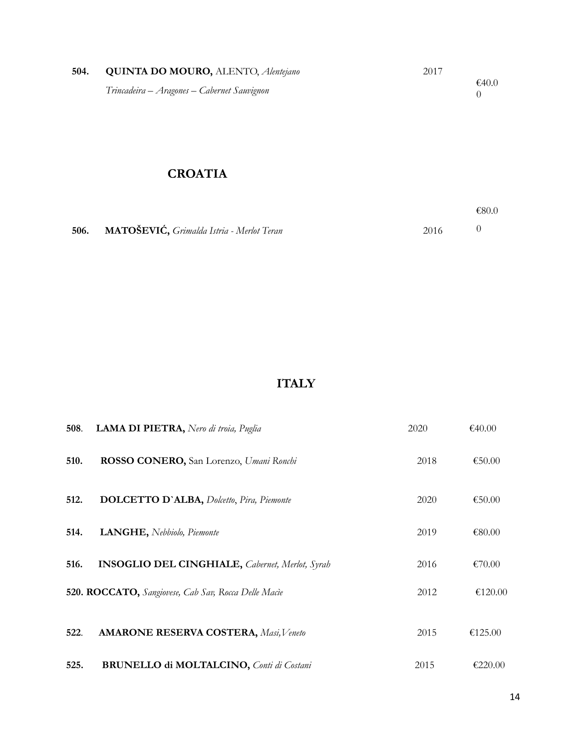| 504. | <b>QUINTA DO MOURO, ALENTO, Alentejano</b>  | 2017  |
|------|---------------------------------------------|-------|
|      | Trincadeira – Aragones – Cabernet Sauvignon | €40.0 |

## **CROATIA**

|                                                |      | €80.0 |
|------------------------------------------------|------|-------|
| 506. MATOŠEVIĆ, Grimalda Istria - Merlot Teran | 2016 |       |

# **ITALY**

| 508. | LAMA DI PIETRA, Nero di troia, Puglia                  | 2020 | €40.00  |
|------|--------------------------------------------------------|------|---------|
| 510. | ROSSO CONERO, San Lorenzo, Umani Ronchi                | 2018 | €50.00  |
| 512. | <b>DOLCETTO D'ALBA, Dolcetto, Pira, Piemonte</b>       | 2020 | €50.00  |
| 514. | LANGHE, Nebbiolo, Piemonte                             | 2019 | €80.00  |
| 516. | <b>INSOGLIO DEL CINGHIALE, Cabernet, Merlot, Syrah</b> | 2016 | €70.00  |
|      | 520. ROCCATO, Sangiovese, Cab Sav, Rocca Delle Macie   | 2012 | €120.00 |
| 522. | <b>AMARONE RESERVA COSTERA, Masi, Veneto</b>           | 2015 | €125.00 |
| 525. | <b>BRUNELLO di MOLTALCINO, Conti di Costani</b>        | 2015 | €220.00 |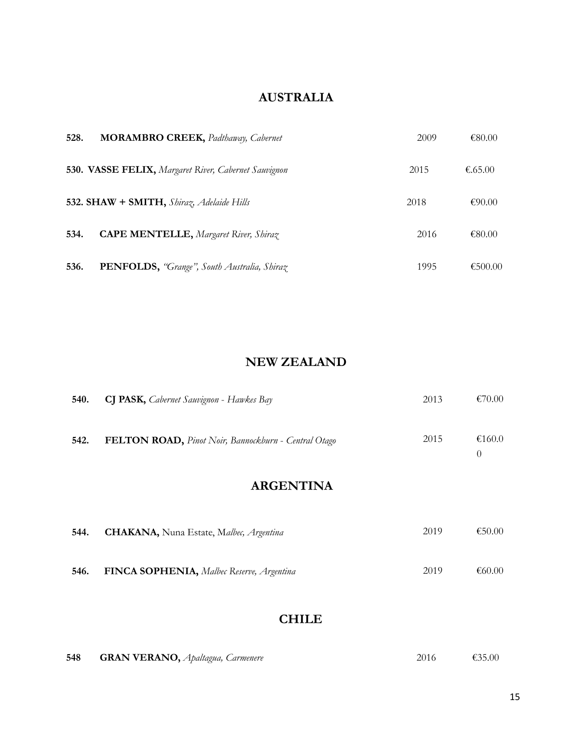### **AUSTRALIA**

| 528. | <b>MORAMBRO CREEK, Padthaway, Cabernet</b>           | 2009 | €80.00  |
|------|------------------------------------------------------|------|---------|
|      | 530. VASSE FELIX, Margaret River, Cabernet Sauvignon | 2015 | €.65.00 |
|      | 532. SHAW + SMITH, Shiraz, Adelaide Hills            | 2018 | €90.00  |
| 534. | <b>CAPE MENTELLE, Margaret River, Shiraz</b>         | 2016 | €80.00  |
| 536. | PENFOLDS, "Grange", South Australia, Shiraz          | 1995 | €500.00 |

### **NEW ZEALAND**

| 540. | <b>CJ PASK,</b> Cabernet Sauvignon - Hawkes Bay      | 2013 | €70.00 |
|------|------------------------------------------------------|------|--------|
| 542. | FELTON ROAD, Pinot Noir, Bannockburn - Central Otago | 2015 | €160.0 |

### **ARGENTINA**

| 544. | <b>CHAKANA</b> , Nuna Estate, Malbec, Argentina   | 2019 | €50.00 |
|------|---------------------------------------------------|------|--------|
| 546. | <b>FINCA SOPHENIA</b> , Malbec Reserve, Argentina | 2019 | €60.00 |

### **CHILE**

| 548 | <b>GRAN VERANO</b> , Apaltagua, Carmenere | 2016 | €35.00 |
|-----|-------------------------------------------|------|--------|
|     |                                           |      |        |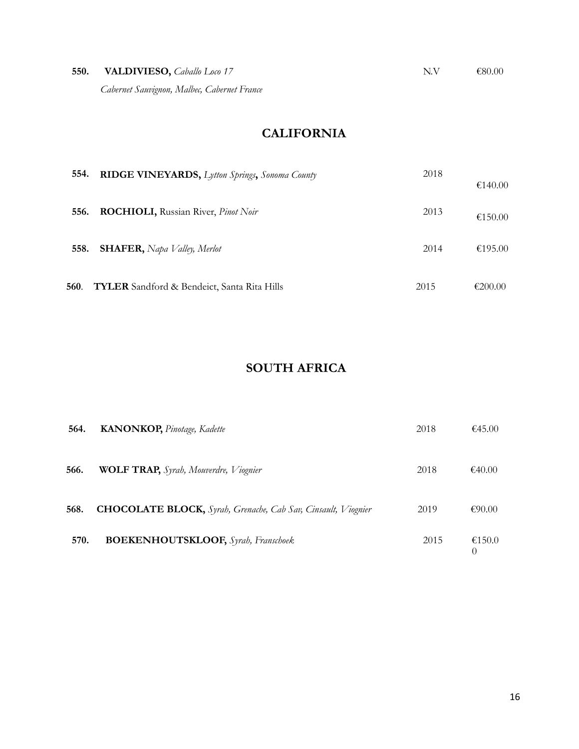| 550. | <b>VALDIVIESO</b> , <i>Caballo Loco</i> 17  | N V | €80.00 |
|------|---------------------------------------------|-----|--------|
|      | Cabernet Sauvignon, Malbec, Cabernet France |     |        |

# **CALIFORNIA**

| 554. | RIDGE VINEYARDS, Lytton Springs, Sonoma County     | 2018 | €140.00 |
|------|----------------------------------------------------|------|---------|
| 556. | <b>ROCHIOLI, Russian River, Pinot Noir</b>         | 2013 | €150.00 |
| 558. | <b>SHAFER</b> , Napa Valley, Merlot                | 2014 | €195.00 |
| 560. | <b>TYLER</b> Sandford & Bendeict, Santa Rita Hills | 2015 | €200.00 |

## **SOUTH AFRICA**

| 564. | <b>KANONKOP</b> , Pinotage, Kadette                                  | 2018 | €45.00      |
|------|----------------------------------------------------------------------|------|-------------|
| 566. | <b>WOLF TRAP,</b> Syrah, Mouverdre, Viognier                         | 2018 | €40.00      |
| 568. | <b>CHOCOLATE BLOCK,</b> Syrah, Grenache, Cab Sav, Cinsault, Viognier | 2019 | €90.00      |
| 570. | <b>BOEKENHOUTSKLOOF,</b> Syrah, Franschoek                           | 2015 | €150.0<br>0 |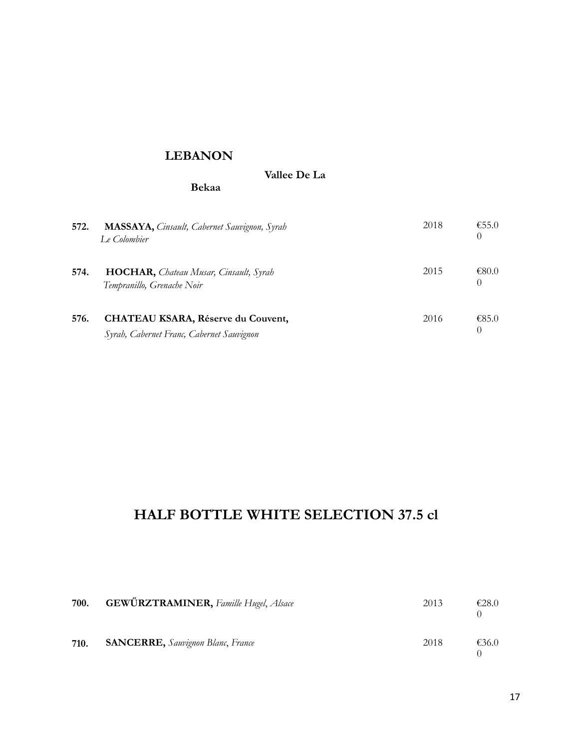#### **LEBANON**

**Bekaa**

 **Vallee De La** 

| 572. | <b>MASSAYA</b> , Cinsault, Cabernet Sauvignon, Syrah<br>Le Colombier                   | 2018 | €55.0 |
|------|----------------------------------------------------------------------------------------|------|-------|
| 574. | HOCHAR, Chateau Musar, Cinsault, Syrah<br>Tempranillo, Grenache Noir                   | 2015 | €80.0 |
| 576. | <b>CHATEAU KSARA, Réserve du Couvent,</b><br>Syrah, Cabernet Franc, Cabernet Sauvignon | 2016 | €85.0 |

# **HALF BOTTLE WHITE SELECTION 37.5 cl**

| 700. | <b>GEWÜRZTRAMINER</b> , Famille Hugel, Alsace | 2013 | £28.0 |
|------|-----------------------------------------------|------|-------|
| 710. | <b>SANCERRE,</b> Sauvignon Blanc, France      | 2018 | €36.0 |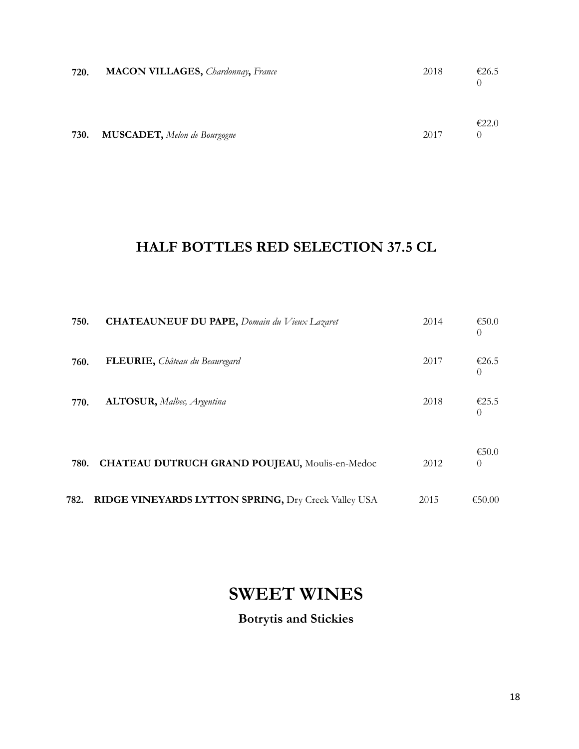| 720. | <b>MACON VILLAGES</b> , <i>Chardonnay</i> , France | 2018 | €26.5 |
|------|----------------------------------------------------|------|-------|
| 730. | <b>MUSCADET</b> , Melon de Bourgogne               | 2017 | E22.0 |

# **HALF BOTTLES RED SELECTION 37.5 CL**

| 750. | <b>CHATEAUNEUF DU PAPE, Domain du Vieux Lazaret</b>   | 2014 | €50.0<br>$\left( \right)$ |
|------|-------------------------------------------------------|------|---------------------------|
| 760. | FLEURIE, Château du Beauregard                        | 2017 | €26.5<br>$\left( \right)$ |
| 770. | <b>ALTOSUR</b> , Malbec, Argentina                    | 2018 | €25.5<br>$\left( \right)$ |
| 780. | <b>CHATEAU DUTRUCH GRAND POUJEAU, Moulis-en-Medoc</b> | 2012 | €50.0<br>$\Omega$         |
| 782. | RIDGE VINEYARDS LYTTON SPRING, Dry Creek Valley USA   | 2015 | €50.00                    |

# **SWEET WINES**

# **Botrytis and Stickies**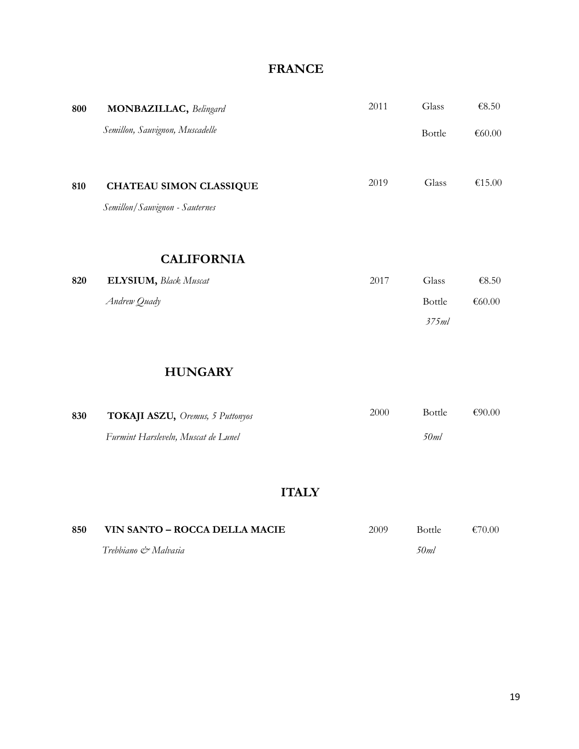### **FRANCE**

| 800 | <b>MONBAZILLAC</b> , Belingard                                   | 2011 | Glass            | €8.50            |
|-----|------------------------------------------------------------------|------|------------------|------------------|
|     | Semillon, Sauvignon, Muscadelle                                  |      | Bottle           | €60.00           |
| 810 | <b>CHATEAU SIMON CLASSIQUE</b><br>Semillon/Sauvignon - Sauternes | 2019 | Glass            | €15.00           |
|     | <b>CALIFORNIA</b>                                                |      |                  |                  |
| 820 | <b>ELYSIUM</b> , Black Muscat                                    | 2017 | Glass            | €8.50            |
|     | Andrew Quady                                                     |      | Bottle           | €60.00           |
|     |                                                                  |      | 375ml            |                  |
|     | <b>HUNGARY</b>                                                   |      |                  |                  |
|     | $H \cap T$                                                       | 2000 | Ro <sub>tt</sub> | $\epsilon$ 90.00 |

| 830 | <b>TOKAJI ASZU, Oremus, 5 Puttonyos</b> | 2000 | Bottle | €90.00 |
|-----|-----------------------------------------|------|--------|--------|
|     | Furmint Harsleveln, Muscat de Lunel     |      | 50ml   |        |

# **ITALY**

| 850 | VIN SANTO – ROCCA DELLA MACIE | 2009 | Bottle. | €70.00 |
|-----|-------------------------------|------|---------|--------|
|     | Trebbiano & Malvasia          |      | 50ml    |        |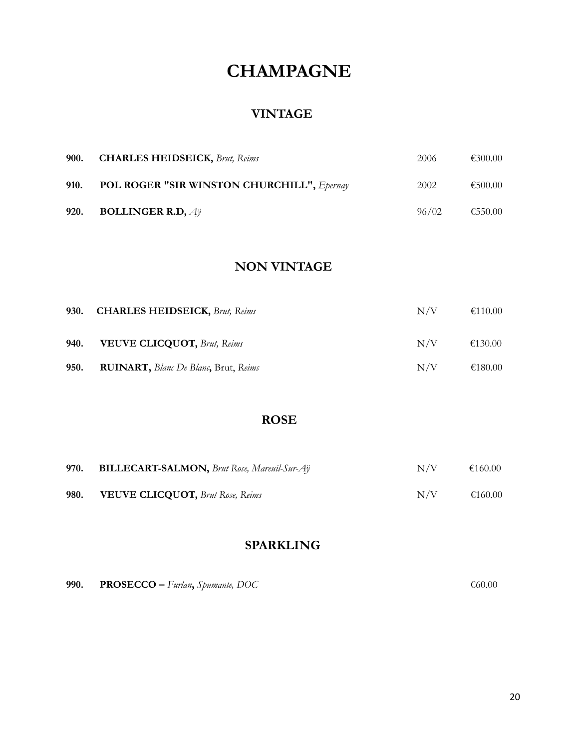# **CHAMPAGNE**

#### **VINTAGE**

|      | 900. CHARLES HEIDSEICK, Brut, Reims               | 2006  | €300.00 |
|------|---------------------------------------------------|-------|---------|
| 910. | <b>POL ROGER "SIR WINSTON CHURCHILL", Epernay</b> | 2002  | €500.00 |
|      | 920. BOLLINGER R.D, $A\ddot{y}$                   | 96/02 | €550.00 |

### **NON VINTAGE**

| 930. | <b>CHARLES HEIDSEICK, Brut, Reims</b>                       | N/V | €110.00 |
|------|-------------------------------------------------------------|-----|---------|
| 940. | <b>VEUVE CLICQUOT, Brut, Reims</b>                          | N/V | €130.00 |
| 950. | <b>RUINART</b> , <i>Blanc De Blanc</i> , Brut, <i>Reims</i> | N/V | €180.00 |

### **ROSE**

| 970. | <b>BILLECART-SALMON, Brut Rose, Mareuil-Sur-Ay</b> | N/V | €160.00 |
|------|----------------------------------------------------|-----|---------|
| 980. | <b>VEUVE CLICQUOT, Brut Rose, Reims</b>            | N/V | €160.00 |

### **SPARKLING**

| 990. | <b>PROSECCO</b> – Furlan, Spumante, DOC | €60.00 |
|------|-----------------------------------------|--------|
|      |                                         |        |